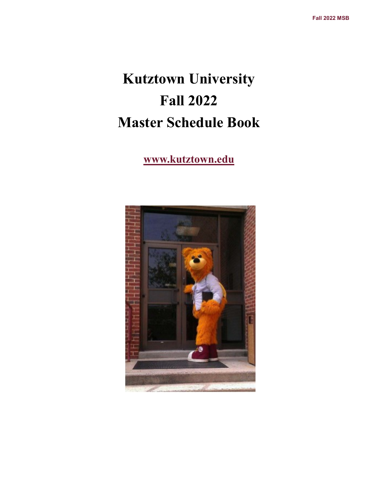# **Kutztown University Fall 2022 Master Schedule Book**

## **www.kutztown.edu**

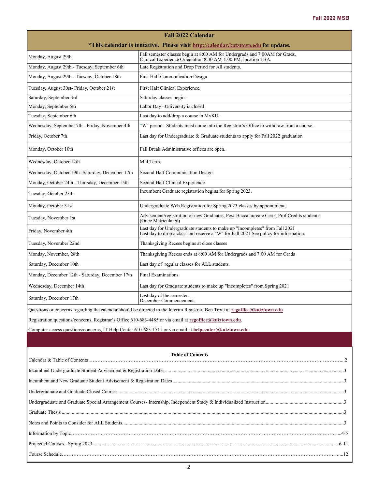| <b>Fall 2022 Calendar</b>                                                                                                      |                                                                                                                                                                     |  |  |  |  |  |
|--------------------------------------------------------------------------------------------------------------------------------|---------------------------------------------------------------------------------------------------------------------------------------------------------------------|--|--|--|--|--|
| *This calendar is tentative. Please visit http://calendar.kutztown.edu for updates.                                            |                                                                                                                                                                     |  |  |  |  |  |
| Monday, August 29th                                                                                                            | Fall semester classes begin at 8:00 AM for Undergrads and 7:00AM for Grads.<br>Clinical Experience Orientation 8:30 AM-1:00 PM, location TBA.                       |  |  |  |  |  |
| Monday, August 29th - Tuesday, September 6th                                                                                   | Late Registration and Drop Period for All students.                                                                                                                 |  |  |  |  |  |
| Monday, August 29th - Tuesday, October 18th                                                                                    | First Half Communication Design.                                                                                                                                    |  |  |  |  |  |
| Tuesday, August 30st- Friday, October 21st                                                                                     | First Half Clinical Experience.                                                                                                                                     |  |  |  |  |  |
| Saturday, September 3rd                                                                                                        | Saturday classes begin.                                                                                                                                             |  |  |  |  |  |
| Monday, September 5th                                                                                                          | Labor Day-University is closed                                                                                                                                      |  |  |  |  |  |
| Tuesday, September 6th                                                                                                         | Last day to add/drop a course in MyKU.                                                                                                                              |  |  |  |  |  |
| Wednesday, September 7th - Friday, November 4th                                                                                | "W" period. Students must come into the Registrar's Office to withdraw from a course.                                                                               |  |  |  |  |  |
| Friday, October 7th                                                                                                            | Last day for Undergraduate & Graduate students to apply for Fall 2022 graduation                                                                                    |  |  |  |  |  |
| Monday, October 10th                                                                                                           | Fall Break Administrative offices are open.                                                                                                                         |  |  |  |  |  |
| Wednesday, October 12th                                                                                                        | Mid Term.                                                                                                                                                           |  |  |  |  |  |
| Wednesday, October 19th- Saturday, December 17th                                                                               | Second Half Communication Design.                                                                                                                                   |  |  |  |  |  |
| Monday, October 24th - Thursday, December 15th                                                                                 | Second Half Clinical Experience.                                                                                                                                    |  |  |  |  |  |
| Tuesday, October 25th                                                                                                          | Incumbent Graduate registration begins for Spring 2023.                                                                                                             |  |  |  |  |  |
| Monday, October 31st                                                                                                           | Undergraduate Web Registration for Spring 2023 classes by appointment.                                                                                              |  |  |  |  |  |
| Tuesday, November 1st                                                                                                          | Advisement/registration of new Graduates, Post-Baccalaureate Certs, Prof Credits students.<br>(Once Matriculated)                                                   |  |  |  |  |  |
| Friday, November 4th                                                                                                           | Last day for Undergraduate students to make up "Incompletes" from Fall 2021<br>Last day to drop a class and receive a "W" for Fall 2021 See policy for information. |  |  |  |  |  |
| Tuesday, November 22nd                                                                                                         | Thanksgiving Recess begins at close classes                                                                                                                         |  |  |  |  |  |
| Monday, November, 28th                                                                                                         | Thanksgiving Recess ends at 8:00 AM for Undergrads and 7:00 AM for Grads                                                                                            |  |  |  |  |  |
| Saturday, December 10th                                                                                                        | Last day of regular classes for ALL students.                                                                                                                       |  |  |  |  |  |
| Monday, December 12th - Saturday, December 17th                                                                                | Final Examinations.                                                                                                                                                 |  |  |  |  |  |
| Wednesday, December 14th                                                                                                       | Last day for Graduate students to make up "Incompletes" from Spring 2021                                                                                            |  |  |  |  |  |
| Saturday, December 17th                                                                                                        | Last day of the semester.<br>December Commencement.                                                                                                                 |  |  |  |  |  |
| Questions or concerns regarding the calendar should be directed to the Interim Registrar, Ben Trout at regoffice@kutztown.edu. |                                                                                                                                                                     |  |  |  |  |  |
| Registration questions/concerns, Registrar's Office 610-683-4485 or via email at regoffice@kutztown.edu.                       |                                                                                                                                                                     |  |  |  |  |  |
| Computer access questions/concerns, IT Help Center 610-683-1511 or via email at helpcenter@kutztown.edu.                       |                                                                                                                                                                     |  |  |  |  |  |
|                                                                                                                                |                                                                                                                                                                     |  |  |  |  |  |
|                                                                                                                                | <b>Table of Contents</b>                                                                                                                                            |  |  |  |  |  |
|                                                                                                                                |                                                                                                                                                                     |  |  |  |  |  |
|                                                                                                                                |                                                                                                                                                                     |  |  |  |  |  |
|                                                                                                                                |                                                                                                                                                                     |  |  |  |  |  |
|                                                                                                                                |                                                                                                                                                                     |  |  |  |  |  |
|                                                                                                                                |                                                                                                                                                                     |  |  |  |  |  |
|                                                                                                                                |                                                                                                                                                                     |  |  |  |  |  |
|                                                                                                                                |                                                                                                                                                                     |  |  |  |  |  |
|                                                                                                                                |                                                                                                                                                                     |  |  |  |  |  |
|                                                                                                                                |                                                                                                                                                                     |  |  |  |  |  |
|                                                                                                                                |                                                                                                                                                                     |  |  |  |  |  |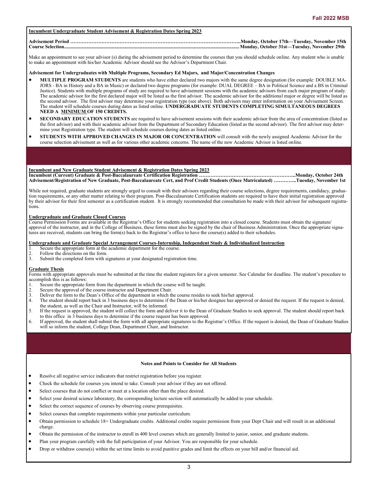#### **Incumbent Undergraduate Student Advisement & Registration Dates Spring 2023**

#### **Advisement Period …………………………………………………………………………………………..Monday, October 17th—Tuesday, November 15th Course Selection...........................................................................................................................................Monday, October 31st—Tuesday, November 29th**

Make an appointment to see your advisor (s) during the advisement period to determine the courses that you should schedule online. Any student who is unable to make an appointment with his/her Academic Advisor should see the Advisor's Department Chair.

#### **Advisement for Undergraduates with Multiple Programs, Secondary Ed Majors, and Major/Concentration Changes**

- **MULTIPLE PROGRAM STUDENTS** are students who have either declared two majors with the same degree designation (for example: DOUBLE MA-JORS - BA in History and a BA in Music) or declared two degree programs (for example: DUAL DEGREE – BA in Political Science and a BS in Criminal Justice). Students with multiple programs of study are required to have advisement sessions with the academic advisors from each major program of study. The academic advisor for the first declared major will be listed as the first advisor. The academic advisor for the additional major or degree will be listed as the second advisor. The first advisor may determine your registration type (see above). Both advisors may enter information on your Advisement Screen. The student will schedule courses during dates as listed online. **UNDERGRADUATE STUDENTS COMPLETING SIMULTANEOUS DEGREES NEED A MINIMUM OF 150 CREDITS.**
- **SECONDARY EDUCATION STUDENTS** are required to have advisement sessions with their academic advisor from the area of concentration (listed as the first advisor) and with their academic advisor from the Department of Secondary Education (listed as the second advisor). The first advisor may determine your Registration type. The student will schedule courses during dates as listed online.
- **STUDENTS WITH APPROVED CHANGES IN MAJOR OR CONCENTRATION** will consult with the newly assigned Academic Advisor for the course selection advisement as well as for various other academic concerns. The name of the new Academic Advisor is listed online.

#### **Incumbent and New Graduate Student Advisement & Registration Dates Spring 2023**

**Incumbent (Current) Graduate & Post-Baccalaureate Certification Registration …………………………………………………..Monday, October 24th Advisement/Registration of New Graduate, Post-Baccalaureate Cert, and Prof Credit Students (Once Matriculated) …………..Tuesday, November 1st**

While not required, graduate students are strongly urged to consult with their advisors regarding their course selections, degree requirements, candidacy, graduation requirements, or any other matter relating to their program. Post-Baccalaureate Certification students are required to have their initial registration approved by their advisor for their first semester as a certification student. It is strongly recommended that consultation be made with their advisor for subsequent registrations.

## **Undergraduate and Graduate Closed Courses**

Course Permission Forms are available in the Registrar's Office for students seeking registration into a closed course. Students must obtain the signature/ approval of the instructor, and in the College of Business, these forms must also be signed by the chair of Business Administration. Once the appropriate signatures are received, students can bring the form(s) back to the Registrar's office to have the course(s) added to their schedules.

## **Undergraduate and Graduate Special Arrangement Courses-Internship, Independent Study & Individualized Instruction**

- 1. Secure the appropriate form at the academic department for the course.<br>
2. Follow the directions on the form.<br>
2. Submit the completed form with signatures at your designated registrations
- Follow the directions on the form.
- Submit the completed form with signatures at your designated registration time.

#### **Graduate Thesis**

Forms with appropriate approvals must be submitted at the time the student registers for a given semester. See Calendar for deadline. The student's procedure to accomplish this is as follows:

- Secure the appropriate form from the department in which the course will be taught.
- 2. Secure the approval of the course instructor and Department Chair.<br>3. Deliver the form to the Dean's Office of the department in which the
- Deliver the form to the Dean's Office of the department in which the course resides to seek his/her approval.
- 4. The student should report back in 3 business days to determine if the Dean or his/her designee has approved or denied the request. If the request is denied, the student, as well as the Chair and Instructor, will be informed.
- 5. If the request is approved, the student will collect the form and deliver it to the Dean of Graduate Studies to seek approval. The student should report back to this office in 3 business days to determine if the course request has been approved.
- 6. If approved, the student shall submit the form with all appropriate signatures to the Registrar's Office. If the request is denied, the Dean of Graduate Studies will so inform the student, College Dean, Department Chair, and Instructor.

#### **Notes and Points to Consider for All Students**

- Resolve all negative service indicators that restrict registration before you register.
- Check the schedule for courses you intend to take. Consult your advisor if they are not offered.
- Select courses that do not conflict or meet at a location other than the place desired.
- Select your desired science laboratory, the corresponding lecture section will automatically be added to your schedule.
- Select the correct sequence of courses by observing course prerequisites.
- Select courses that complete requirements within your particular curriculum.
- Obtain permission to schedule 18+ Undergraduate credits. Additional credits require permission from your Dept Chair and will result in an additional charge.
- Obtain the permission of the instructor to enroll in 400 level courses which are generally limited to junior, senior, and graduate students.
- Plan your program carefully with the full participation of your Advisor. You are responsible for your schedule.
- Drop or withdraw course(s) within the set time limits to avoid punitive grades and limit the effects on your bill and/or financial aid.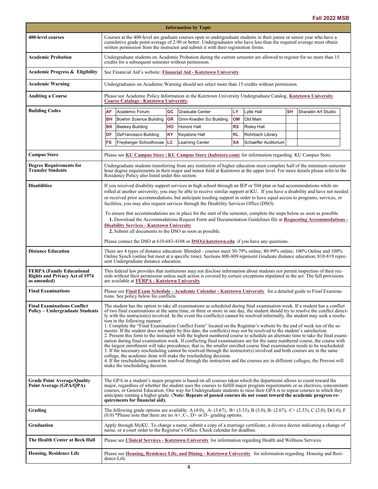|                                                                                          |                                                                                                                                                                                                                                                                                                                                                                                                                                                                                                                                                                                                                                                                                                                                                                                                                                                                                                                                                                                                                                                                                                                                                                                                                                                                                                                                                                                                                                                        |                                                                                                                                                                                                                                                                                                             |           | <b>Information by Topic</b>                                                                                                                                                                             |           |                      |           |                     |
|------------------------------------------------------------------------------------------|--------------------------------------------------------------------------------------------------------------------------------------------------------------------------------------------------------------------------------------------------------------------------------------------------------------------------------------------------------------------------------------------------------------------------------------------------------------------------------------------------------------------------------------------------------------------------------------------------------------------------------------------------------------------------------------------------------------------------------------------------------------------------------------------------------------------------------------------------------------------------------------------------------------------------------------------------------------------------------------------------------------------------------------------------------------------------------------------------------------------------------------------------------------------------------------------------------------------------------------------------------------------------------------------------------------------------------------------------------------------------------------------------------------------------------------------------------|-------------------------------------------------------------------------------------------------------------------------------------------------------------------------------------------------------------------------------------------------------------------------------------------------------------|-----------|---------------------------------------------------------------------------------------------------------------------------------------------------------------------------------------------------------|-----------|----------------------|-----------|---------------------|
| 400-level courses                                                                        | Courses at the 400-level are graduate courses open to undergraduate students in their junior or senior year who have a<br>cumulative grade point average of 2.90 or better. Undergraduates who have less than the required average must obtain<br>written permission from the instructor and submit it with their registration forms.                                                                                                                                                                                                                                                                                                                                                                                                                                                                                                                                                                                                                                                                                                                                                                                                                                                                                                                                                                                                                                                                                                                  |                                                                                                                                                                                                                                                                                                             |           |                                                                                                                                                                                                         |           |                      |           |                     |
| <b>Academic Probation</b>                                                                | Undergraduate students on Academic Probation during the current semester are allowed to register for no more than 15<br>credits for a subsequent semester without permission.                                                                                                                                                                                                                                                                                                                                                                                                                                                                                                                                                                                                                                                                                                                                                                                                                                                                                                                                                                                                                                                                                                                                                                                                                                                                          |                                                                                                                                                                                                                                                                                                             |           |                                                                                                                                                                                                         |           |                      |           |                     |
| <b>Academic Progress &amp; Eligibility</b>                                               |                                                                                                                                                                                                                                                                                                                                                                                                                                                                                                                                                                                                                                                                                                                                                                                                                                                                                                                                                                                                                                                                                                                                                                                                                                                                                                                                                                                                                                                        | See Financial Aid's website: Financial Aid - Kutztown University.                                                                                                                                                                                                                                           |           |                                                                                                                                                                                                         |           |                      |           |                     |
| Academic Warning                                                                         |                                                                                                                                                                                                                                                                                                                                                                                                                                                                                                                                                                                                                                                                                                                                                                                                                                                                                                                                                                                                                                                                                                                                                                                                                                                                                                                                                                                                                                                        | Undergraduates on Academic Warning should not select more than 15 credits without permission.                                                                                                                                                                                                               |           |                                                                                                                                                                                                         |           |                      |           |                     |
| <b>Auditing a Course</b>                                                                 |                                                                                                                                                                                                                                                                                                                                                                                                                                                                                                                                                                                                                                                                                                                                                                                                                                                                                                                                                                                                                                                                                                                                                                                                                                                                                                                                                                                                                                                        | Please see Academic Policy Information in the Kutztown University Undergraduate Catalog, Kutztown University<br><b>Course Catalogs - Kutztown University.</b>                                                                                                                                               |           |                                                                                                                                                                                                         |           |                      |           |                     |
| <b>Building Codes</b>                                                                    | AF                                                                                                                                                                                                                                                                                                                                                                                                                                                                                                                                                                                                                                                                                                                                                                                                                                                                                                                                                                                                                                                                                                                                                                                                                                                                                                                                                                                                                                                     | Academic Forum                                                                                                                                                                                                                                                                                              | GC        | Graduate Center                                                                                                                                                                                         | LY        | Lytle Hall           | <b>SH</b> | Sharadin Art Studio |
|                                                                                          | BН                                                                                                                                                                                                                                                                                                                                                                                                                                                                                                                                                                                                                                                                                                                                                                                                                                                                                                                                                                                                                                                                                                                                                                                                                                                                                                                                                                                                                                                     | Boehm Science Building                                                                                                                                                                                                                                                                                      | <b>GR</b> | Grim-Knedler Sci Building                                                                                                                                                                               | OM        | Old Main             |           |                     |
|                                                                                          | ΒK                                                                                                                                                                                                                                                                                                                                                                                                                                                                                                                                                                                                                                                                                                                                                                                                                                                                                                                                                                                                                                                                                                                                                                                                                                                                                                                                                                                                                                                     | <b>Beekey Building</b>                                                                                                                                                                                                                                                                                      | HO        | Honors Hall                                                                                                                                                                                             | RS        | <b>Risley Hall</b>   |           |                     |
|                                                                                          | DF                                                                                                                                                                                                                                                                                                                                                                                                                                                                                                                                                                                                                                                                                                                                                                                                                                                                                                                                                                                                                                                                                                                                                                                                                                                                                                                                                                                                                                                     | DeFrancesco Building                                                                                                                                                                                                                                                                                        | ΚY        | Keystone Hall                                                                                                                                                                                           | <b>RL</b> | Rohrbach Library     |           |                     |
|                                                                                          | FS                                                                                                                                                                                                                                                                                                                                                                                                                                                                                                                                                                                                                                                                                                                                                                                                                                                                                                                                                                                                                                                                                                                                                                                                                                                                                                                                                                                                                                                     | Freyberger Schoolhouse                                                                                                                                                                                                                                                                                      | LC        | Learning Center                                                                                                                                                                                         | <b>SA</b> | Schaeffer Auditorium |           |                     |
| <b>Campus Store</b>                                                                      |                                                                                                                                                                                                                                                                                                                                                                                                                                                                                                                                                                                                                                                                                                                                                                                                                                                                                                                                                                                                                                                                                                                                                                                                                                                                                                                                                                                                                                                        | Please see KU Campus Store   KU Campus Store (kubstore.com) for information regarding KU Campus Store.                                                                                                                                                                                                      |           |                                                                                                                                                                                                         |           |                      |           |                     |
| <b>Degree Requirements for</b><br><b>Transfer Students</b>                               |                                                                                                                                                                                                                                                                                                                                                                                                                                                                                                                                                                                                                                                                                                                                                                                                                                                                                                                                                                                                                                                                                                                                                                                                                                                                                                                                                                                                                                                        | Undergraduate students transferring from any institution of higher education must complete half of the minimum semester<br>hour degree requirements in their major and minor field at Kutztown at the upper level. For more details please refer to the<br>Residency Policy also listed under this section. |           |                                                                                                                                                                                                         |           |                      |           |                     |
| <b>Disabilities</b>                                                                      | If you received disability support services in high school through an IEP or 504 plan or had accommodations while en-<br>rolled at another university, you may be able to receive similar support at KU. If you have a disability and have not needed<br>or received prior accommodations, but anticipate needing support in order to have equal access to programs, services, or<br>facilities, you may also request services through the Disability Services Office (DSO).<br>To ensure that accommodations are in place for the start of the semester, complete the steps below as soon as possible.<br>1. Download the Accommodations Request Form and Documentation Guidelines file at Requesting Accommodations -<br><b>Disability Services - Kutztown University</b><br>2. Submit all documents to the DSO as soon as possible.                                                                                                                                                                                                                                                                                                                                                                                                                                                                                                                                                                                                                 |                                                                                                                                                                                                                                                                                                             |           |                                                                                                                                                                                                         |           |                      |           |                     |
|                                                                                          |                                                                                                                                                                                                                                                                                                                                                                                                                                                                                                                                                                                                                                                                                                                                                                                                                                                                                                                                                                                                                                                                                                                                                                                                                                                                                                                                                                                                                                                        | Please contact the DSO at 610-683-4108 or $DSO(\hat{a})$ <b>kutztown.edu</b> if you have any questions.                                                                                                                                                                                                     |           |                                                                                                                                                                                                         |           |                      |           |                     |
| <b>Distance Education</b>                                                                |                                                                                                                                                                                                                                                                                                                                                                                                                                                                                                                                                                                                                                                                                                                                                                                                                                                                                                                                                                                                                                                                                                                                                                                                                                                                                                                                                                                                                                                        | There are 4 types of distance education: Blended - courses meet 30-79% online; 80-99% online; 100% Online and 100%<br>Online Synch (online but meet at a specific time). Sections 800-809 represent Graduate distance education; 810-819 repre-<br>sent Undergraduate distance education.                   |           |                                                                                                                                                                                                         |           |                      |           |                     |
| <b>FERPA (Family Educational</b><br><b>Rights and Privacy Act of 1974</b><br>as amended) | This federal law provides that institutions may not disclose information about students nor permit inspection of their rec-<br>ords without their permission unless such action is covered by certain exceptions stipulated in the act. The full provisions<br>are available at FERPA - Kutztown University                                                                                                                                                                                                                                                                                                                                                                                                                                                                                                                                                                                                                                                                                                                                                                                                                                                                                                                                                                                                                                                                                                                                            |                                                                                                                                                                                                                                                                                                             |           |                                                                                                                                                                                                         |           |                      |           |                     |
| <b>Final Examinations</b>                                                                |                                                                                                                                                                                                                                                                                                                                                                                                                                                                                                                                                                                                                                                                                                                                                                                                                                                                                                                                                                                                                                                                                                                                                                                                                                                                                                                                                                                                                                                        | Please see Final Exam Schedule - Academic Calendar - Kutztown University for a detailed guide to Final Examina-<br>tions. See policy below for conflicts.                                                                                                                                                   |           |                                                                                                                                                                                                         |           |                      |           |                     |
| <b>Final Examinations Conflict</b><br><b>Policy – Undergraduate Students</b>             | The student has the option to take all examinations as scheduled during final examination week. If a student has a conflict<br>of two final examinations at the same time, or three or more in one day, the student should try to resolve the conflict direct-<br>ly with the instructor(s) involved. In the event the conflict(s) cannot be resolved informally, the student may seek a resolu-<br>tion in the following manner:<br>1. Complete the "Final Examination Conflict Form" located on the Registrar's website by the end of week ten of the se-<br>mester. If the student does not apply by this date, the conflict(s) may not be resolved to the student's satisfaction.<br>2. Present this form to the instructor with the highest numbered course to schedule an alternate time to take the final exami-<br>nation during final examination week. If conflicting final examinations are for the same numbered course, the course with<br>the largest enrollment will take precedence; that is, the smaller enrolled course final examination needs to be rescheduled.<br>3. If the necessary rescheduling cannot be resolved through the instructor(s) involved and both courses are in the same<br>college, the academic dean will make the rescheduling decision.<br>4. If the rescheduling cannot be resolved through the instructors and the courses are in different colleges, the Provost will<br>make the rescheduling decision. |                                                                                                                                                                                                                                                                                                             |           |                                                                                                                                                                                                         |           |                      |           |                     |
| <b>Grade Point Average/Quality</b><br>Point Average (GPA/QPA)                            | The GPA in a student's major program is based on all courses taken which the department allows to count toward the<br>major, regardless of whether the student uses the courses to fulfill major program requirements or as electives, concomitant<br>courses, or General Education. One way for Undergraduate students to raise their GPA is to repeat courses in which they<br>anticipate earning a higher grade. (Note: Repeats of passed courses do not count toward the academic progress re-<br>quirements for financial aid).                                                                                                                                                                                                                                                                                                                                                                                                                                                                                                                                                                                                                                                                                                                                                                                                                                                                                                                   |                                                                                                                                                                                                                                                                                                             |           |                                                                                                                                                                                                         |           |                      |           |                     |
| Grading                                                                                  |                                                                                                                                                                                                                                                                                                                                                                                                                                                                                                                                                                                                                                                                                                                                                                                                                                                                                                                                                                                                                                                                                                                                                                                                                                                                                                                                                                                                                                                        |                                                                                                                                                                                                                                                                                                             |           | The following grade options are available: A (4.0), A- (3.67), B+ (3.33), B (3.0), B- (2.67), C+ (2.33), C (2.0), D(1.0), F<br>$(0.0)$ *Please note that there are no A+, C-, D+ or D– grading options. |           |                      |           |                     |
| <b>Graduation</b>                                                                        |                                                                                                                                                                                                                                                                                                                                                                                                                                                                                                                                                                                                                                                                                                                                                                                                                                                                                                                                                                                                                                                                                                                                                                                                                                                                                                                                                                                                                                                        | Apply through MyKU. To change a name, submit a copy of a marriage certificate, a divorce decree indicating a change of<br>name, or a court order to the Registrar's Office. Check calendar for deadline.                                                                                                    |           |                                                                                                                                                                                                         |           |                      |           |                     |
| The Health Center at Beck Hall                                                           |                                                                                                                                                                                                                                                                                                                                                                                                                                                                                                                                                                                                                                                                                                                                                                                                                                                                                                                                                                                                                                                                                                                                                                                                                                                                                                                                                                                                                                                        | Please see Clinical Services - Kutztown University for information regarding Health and Wellness Services.                                                                                                                                                                                                  |           |                                                                                                                                                                                                         |           |                      |           |                     |
| <b>Housing, Residence Life</b>                                                           |                                                                                                                                                                                                                                                                                                                                                                                                                                                                                                                                                                                                                                                                                                                                                                                                                                                                                                                                                                                                                                                                                                                                                                                                                                                                                                                                                                                                                                                        | Please see Housing, Residence Life, and Dining - Kutztown University for information regarding Housing and Resi-<br>dence Life.                                                                                                                                                                             |           |                                                                                                                                                                                                         |           |                      |           |                     |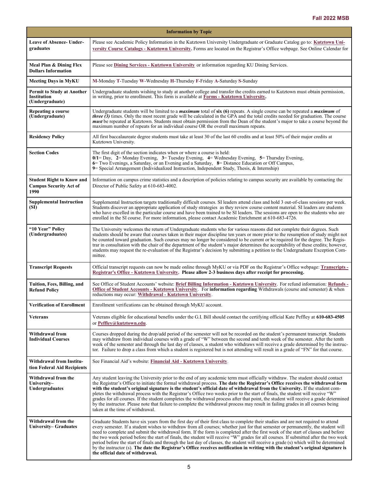| <b>Information by Topic</b>                                               |                                                                                                                                                                                                                                                                                                                                                                                                                                                                                                                                                                                                                                                                                                                                                                                                                                                                     |  |  |  |  |
|---------------------------------------------------------------------------|---------------------------------------------------------------------------------------------------------------------------------------------------------------------------------------------------------------------------------------------------------------------------------------------------------------------------------------------------------------------------------------------------------------------------------------------------------------------------------------------------------------------------------------------------------------------------------------------------------------------------------------------------------------------------------------------------------------------------------------------------------------------------------------------------------------------------------------------------------------------|--|--|--|--|
| <b>Leave of Absence- Under-</b><br>graduates                              | Please see Academic Policy Information in the Kutztown University Undergraduate or Graduate Catalog go to: Kutztown Uni-<br>versity Course Catalogs - Kutztown University. Forms are located on the Registrar's Office webpage. See Online Calendar for                                                                                                                                                                                                                                                                                                                                                                                                                                                                                                                                                                                                             |  |  |  |  |
| Meal Plan & Dining Flex<br><b>Dollars Information</b>                     | Please see Dining Services - Kutztown University or information regarding KU Dining Services.                                                                                                                                                                                                                                                                                                                                                                                                                                                                                                                                                                                                                                                                                                                                                                       |  |  |  |  |
| Meeting Days in MyKU                                                      | M-Monday T-Tuesday W-Wednesday H-Thursday F-Friday A-Saturday S-Sunday                                                                                                                                                                                                                                                                                                                                                                                                                                                                                                                                                                                                                                                                                                                                                                                              |  |  |  |  |
| <b>Permit to Study at Another</b><br>Institution<br>(Undergraduate)       | Undergraduate students wishing to study at another college and transfer the credits earned to Kutztown must obtain permission,<br>in writing, prior to enrollment. This form is available at Forms - Kutztown University.                                                                                                                                                                                                                                                                                                                                                                                                                                                                                                                                                                                                                                           |  |  |  |  |
| Repeating a course<br>(Undergraduate)                                     | Undergraduate students will be limited to a <i>maximum</i> total of six (6) repeats. A single course can be repeated a <i>maximum</i> of<br><i>three</i> $(3)$ times. Only the most recent grade will be calculated in the GPA and the total credits needed for graduation. The course<br>must be repeated at Kutztown. Students must obtain permission from the Dean of the student's major to take a course beyond the<br>maximum number of repeats for an individual course OR the overall maximum repeats.                                                                                                                                                                                                                                                                                                                                                      |  |  |  |  |
| <b>Residency Policy</b>                                                   | All first baccalaureate degree students must take at least 30 of the last 60 credits and at least 50% of their major credits at<br>Kutztown University.                                                                                                                                                                                                                                                                                                                                                                                                                                                                                                                                                                                                                                                                                                             |  |  |  |  |
| <b>Section Codes</b>                                                      | The first digit of the section indicates when or where a course is held:<br>$0/1 =$ Day, $2 =$ Monday Evening, $3 =$ Tuesday Evening, $4 =$ Wednesday Evening, $5 =$ Thursday Evening,<br>6 Two Evenings, a Saturday, or an Evening and a Saturday, 8 = Distance Education or Off Campus,<br>9 Special Arrangement (Individualized Instruction, Independent Study, Thesis, & Internship)                                                                                                                                                                                                                                                                                                                                                                                                                                                                            |  |  |  |  |
| <b>Student Right to Know and</b><br><b>Campus Security Act of</b><br>1990 | Information on campus crime statistics and a description of policies relating to campus security are available by contacting the<br>Director of Public Safety at 610-683-4002.                                                                                                                                                                                                                                                                                                                                                                                                                                                                                                                                                                                                                                                                                      |  |  |  |  |
| <b>Supplemental Instruction</b><br>(SI)                                   | Supplemental Instruction targets traditionally difficult courses. SI leaders attend class and hold 3 out-of-class sessions per week.<br>Students discover an appropriate application of study strategies as they review course content material. SI leaders are students<br>who have excelled in the particular course and have been trained to be SI leaders. The sessions are open to the students who are<br>enrolled in the SI course. For more information, please contact Academic Enrichment at 610-683-4726.                                                                                                                                                                                                                                                                                                                                                |  |  |  |  |
| "10 Year" Policy<br>(Undergraduates)                                      | The University welcomes the return of Undergraduate students who for various reasons did not complete their degrees. Such<br>students should be aware that courses taken in their major discipline ten years or more prior to the resumption of study might not<br>be counted toward graduation. Such courses may no longer be considered to be current or be required for the degree. The Regis-<br>trar in consultation with the chair of the department of the student's major determines the acceptability of these credits; however,<br>students may request the re-evaluation of the Registrar's decision by submitting a petition to the Undergraduate Exception Com-<br>mittee.                                                                                                                                                                             |  |  |  |  |
| <b>Transcript Requests</b>                                                | Official transcript requests can now be made online through MyKU or via PDF on the Registrar's Office webpage: Transcripts -<br>Registrar's Office - Kutztown University. Please allow 2-3 business days after receipt for processing.                                                                                                                                                                                                                                                                                                                                                                                                                                                                                                                                                                                                                              |  |  |  |  |
| Tuition, Fees, Billing, and<br><b>Refund Policy</b>                       | See Office of Student Accounts' website: Brief Billing Information - Kutztown University. For refund information: Refunds -<br>Office of Student Accounts - Kutztown University. For information regarding Withdrawals (course and semester) & when<br>reductions may occur: Withdrawal - Kutztown University.                                                                                                                                                                                                                                                                                                                                                                                                                                                                                                                                                      |  |  |  |  |
| <b>Verification of Enrollment</b>                                         | Enrollment verifications can be obtained through MyKU account.                                                                                                                                                                                                                                                                                                                                                                                                                                                                                                                                                                                                                                                                                                                                                                                                      |  |  |  |  |
| <b>Veterans</b>                                                           | Veterans eligible for educational benefits under the G.I. Bill should contact the certifying official Kate Peffley at 610-683-4505<br>or Peffley@kutztown.edu.                                                                                                                                                                                                                                                                                                                                                                                                                                                                                                                                                                                                                                                                                                      |  |  |  |  |
| Withdrawal from<br><b>Individual Courses</b>                              | Courses dropped during the drop/add period of the semester will not be recorded on the student's permanent transcript. Students<br>may withdraw from individual courses with a grade of "W" between the second and tenth week of the semester. After the tenth<br>week of the semester and through the last day of classes, a student who withdraws will receive a grade determined by the instruc-<br>tor. Failure to drop a class from which a student is registered but is not attending will result in a grade of "FN" for that course.                                                                                                                                                                                                                                                                                                                         |  |  |  |  |
| Withdrawal from Institu-<br>tion Federal Aid Recipients                   | See Financial Aid's website: Financial Aid - Kutztown University.                                                                                                                                                                                                                                                                                                                                                                                                                                                                                                                                                                                                                                                                                                                                                                                                   |  |  |  |  |
| Withdrawal from the<br>University-<br><b>Undergraduates</b>               | Any student leaving the University prior to the end of any academic term must officially withdraw. The student should contact<br>the Registrar's Office to initiate the formal withdrawal process. The date the Registrar's Office receives the withdrawal form<br>with the student's original signature is the student's official date of withdrawal from the University. If the student com-<br>pletes the withdrawal process with the Registrar's Office two weeks prior to the start of finals, the student will receive "W"<br>grades for all courses. If the student completes the withdrawal process after that point, the student will receive a grade determined<br>by the instructor. Please note that failure to complete the withdrawal process may result in failing grades in all courses being<br>taken at the time of withdrawal.                   |  |  |  |  |
| Withdrawal from the<br>University– Graduates                              | Graduate Students have six years from the first day of their first class to complete their studies and are not required to attend<br>every semester. If a student wishes to withdraw from all courses; whether just for that semester or permanently, the student will<br>need to complete and submit the withdrawal form. If the form is completed after the first week of the start of classes and before<br>the two week period before the start of finals, the student will receive "W" grades for all courses. If submitted after the two week<br>period before the start of finals and through the last day of classes, the student will receive a grade (s) which will be determined<br>by the instructor (s). The date the Registrar's Office receives notification in writing with the student's original signature is<br>the official date of withdrawal. |  |  |  |  |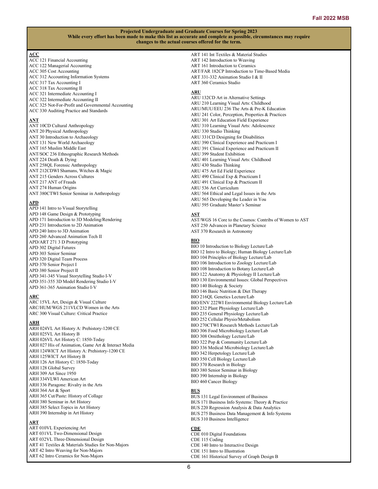## **ACC**

ACC 121 Financial Accounting ACC 122 Managerial Accounting ACC 305 Cost Accounting ACC 312 Accounting Information Systems ACC 317 Tax Accounting I ACC 318 Tax Accounting II ACC 321 Intermediate Accounting I ACC 322 Intermediate Accounting II ACC 325 Not-For-Profit and Governmental Accounting ACC 330 Auditing Practice and Standards

### **ANT**

ANT 10CD Cultural Anthropology ANT 20 Physical Anthropology ANT 30 Introduction to Archaeology ANT 131 New World Archaeology ANT 165 Muslim Middle East ANT/SOC 236 Ethnographic Research Methods ANT 224 Death & Dying ANT 258QL Forensic Anthropology ANT 212CDWI Shamans, Witches & Magic ANT 215 Genders Across Cultures ANT 217 ANT of Frauds ANT 274 Human Origins ANT 380CTWI Senior Seminar in Anthropology

#### **APD**

APD 141 Intro to Visual Storytelling APD 148 Game Design & Prototyping APD 171 Introduction to 3D Modeling/Rendering APD 231 Introduction to 2D Animation APD 240 Intro to 3D Animation APD 260 Advanced Animation Tech II APD/ART 271 3 D Prototyping APD 302 Digital Futures APD 303 Senior Seminar APD 320 Digital Team Process APD 370 Senior Project I APD 380 Senior Project II APD 341-345 Visual Storytelling Studio I-V APD 351-355 3D Model Rendering Studio I-V APD 361-365 Animation Studio I-V

#### **ARC**

ARC 15VL Art, Design & Visual Culture ARC/HUM/WGS 211VLCD Women in the Arts ARC 300 Visual Culture: Critical Practice

#### **ARH**

ARH 024VL Art History A: Prehistory-1200 CE ARH 025VL Art History B ARH 026VL Art History C: 1850-Today ARH 027 His of Animation, Game Art & Interact Media ARH 124WICT Art History A: Prehistory-1200 CE ARH 125WICT Art History B ARH 126 Art History C: 1850-Today ARH 128 Global Survey ARH 309 Art Since 1950 ARH 334VLWI American Art ARH 336 Paragone: Rivalry in the Arts ARH 364 Art & Sport ARH 365 Cut/Paste: History of Collage ARH 380 Seminar in Art History ARH 385 Select Topics in Art History ARH 390 Internship in Art History

## **ART**

ART 010VL Experiencing Art ART 031VL Two-Dimensional Design ART 032VL Three-Dimensional Design ART 41 Textiles & Materials Studies for Non-Majors ART 42 Intro Weaving for Non-Majors ART 62 Intro Ceramics for Non-Majors

ART 141 Int Textiles & Material Studies ART 142 Introduction to Weaving ART 161 Introduction to Ceramics ART/FAR 182CP Introduction to Time-Based Media ART 331-332 Animation Studio I & II ART 360 Ceramics Studio

## **ARU**

ARU 132CD Art in Alternative Settings ARU 210 Learning Visual Arts: Childhood ARU/MUU/EEU 236 The Arts & Pre-K Education ARU 241 Color, Perception, Properties & Practices ARU 301 Art Education Field Experience ARU 310 Learning Visual Arts: Adolescence ARU 330 Studio Thinking ARU 331CD Designing for Disabilities ARU 390 Clinical Experience and Practicum I ARU 391 Clinical Experience and Practicum II ARU 399 Student Exhibition ARU 401 Learning Visual Arts: Childhood ARU 430 Studio Thinking ARU 475 Art Ed Field Experience ARU 490 Clinical Exp & Practicum I ARU 491 Clinical Exp & Practicum II ARU 536 Art Curriculum ARU 564 Ethical and Legal Issues in the Arts ARU 565 Developing the Leader in You ARU 595 Graduate Master's Seminar

#### **AST**

AST/WGS 16 Core to the Cosmos: Contribs of Women to AST AST 250 Advances in Planetary Science AST 370 Research in Astronomy

## **BIO**

BIO 10 Introduction to Biology Lecture/Lab BIO 12 Intro to Biology; Human Biology Lecture/Lab BIO 104 Principles of Biology Lecture/Lab BIO 106 Introduction to Zoology Lecture/Lab BIO 108 Introduction to Botany Lecture/Lab BIO 122 Anatomy & Physiology II Lecture/Lab BIO 130 Environmental Issues: Global Perspectives BIO 140 Biology & Society BIO 146 Basic Nutrition & Diet Therapy BIO 216QL Genetics Lecture/Lab BIO/ENV 222WI Environmental Biology Lecture/Lab BIO 232 Plant Physiology Lecture/Lab BIO 235 General Physiology Lecture/Lab BIO 252 Cellular Physio/Metabolism BIO 270CTWI Research Methods Lecture/Lab BIO 306 Food Microbiology Lecture/Lab BIO 308 Ornithology Lecture/Lab BIO 322 Pop & Community Lecture/Lab BIO 336 Medical Microbiology Lecture/Lab BIO 342 Herpetology Lecture/Lab BIO 350 Cell Biology Lecture/Lab BIO 370 Research in Biology BIO 380 Senior Seminar in Biology BIO 390 Internship in Biology BIO 460 Cancer Biology

## **BUS**

BUS 131 Legal Environment of Business BUS 171 Business Info Systems: Theory & Practice BUS 220 Regression Analysis & Data Analytics BUS 275 Business Data Management & Info Systems BUS 310 Business Intelligence

#### **CDE**

CDE 010 Digital Foundations CDE 115 Coding CDE 140 Intro to Interactive Design CDE 151 Intro to Illustration CDE 161 Historical Survey of Graph Design B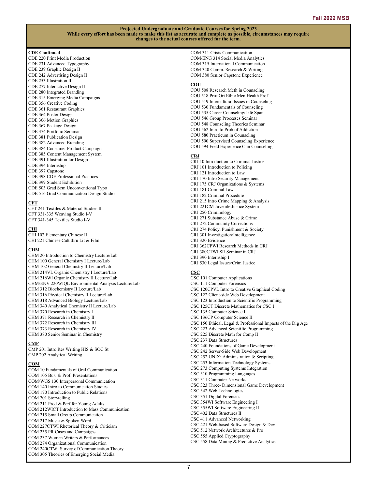#### **CDE Continued**

CDE 220 Print Media Production CDE 231 Advanced Typography CDE 239 Graphic Design II CDE 242 Advertising Design II CDE 253 Illustration II CDE 277 Interactive Design II CDE 280 Integrated Branding CDE 315 Emerging Media Campaigns CDE 356 Creative Coding CDE 361 Restaurant Graphics CDE 364 Poster Design CDE 366 Motion Graphics CDE 367 Package Design CDE 374 Portfolio Seminar CDE 381 Publication Design CDE 382 Advanced Branding CDE 384 Consumer Product Campaign CDE 385 Content Management System CDE 391 Illustration for Design CDE 394 Internship CDE 397 Capstone CDE 398 CDE Professional Practices CDE 399 Student Exhibition CDE 503 Grad Sem Unconventional Typo CDE 516 Grad Communication Design Studio

#### **CFT**

CFT 241 Textiles & Material Studies II CFT 331-335 Weaving Studio I-V CFT 341-345 Textiles Studio I-V

#### **CHI**

CHI 102 Elementary Chinese II CHI 221 Chinese Cult thru Lit & Film

#### **CHM**

CHM 20 Introduction to Chemistry Lecture/Lab CHM 100 General Chemistry I Lecture/Lab CHM 102 General Chemistry II Lecture/Lab CHM 214VL Organic Chemistry I Lecture/Lab CHM 216WI Organic Chemistry II Lecture/Lab CHM/ENV 220WIQL Environmental Analysis Lecture/Lab CHM 312 Biochemistry II Lecture/Lab CHM 316 Physical Chemistry II Lecture/Lab CHM 318 Advanced Biology Lecture/Lab CHM 340 Analytical Chemistry II Lecture/Lab CHM 370 Research in Chemistry I CHM 371 Research in Chemistry II CHM 372 Research in Chemistry III CHM 373 Research in Chemistry IV CHM 380 Senior Seminar in Chemistry

#### **CMP**

CMP 201 Intro Res Writing HIS & SOC St CMP 202 Analytical Writing

## **COM**

COM 10 Fundamentals of Oral Communication COM 105 Bus. & Prof. Presentations COM/WGS 130 Interpersonal Communication COM 140 Intro to Communication Studies COM 170 Introduction to Public Relations COM 201 Storytelling COM 211 Prod & Perf for Young Adults COM 212WICT Introduction to Mass Communication COM 215 Small Group Communication COM 217 Music & Spoken Word COM 227CTWI Rhetorical Theory & Criticism COM 235 PR Cases and Campaigns COM 237 Women Writers & Performances COM 274 Organizational Communication COM 240CTWI Survey of Communication Theory COM 305 Theories of Emerging Social Media

COM 311 Crisis Communication COM/ENG 314 Social Media Analytics COM 315 International Communication COM 340 Comm. Research & Writing COM 380 Senior Capstone Experience

## **COU**

COU 508 Research Meth in Counseling COU 518 Prof Ori Ethic Men Health Prof COU 519 Intercultural Issues in Counseling COU 530 Fundamentals of Counseling COU 535 Career Counseling/Life Span COU 546 Group Processes Seminar COU 548 Counseling Theories Seminar COU 562 Intro to Prob of Addiction COU 580 Practicum in Counseling COU 590 Supervised Counseling Experience COU 594 Field Experience Clin Counseling

## **CRJ**

CRJ 10 Introduction to Criminal Justice CRJ 101 Introduction to Policing CRJ 121 Introduction to Law CRJ 170 Intro Security Management CRJ 175 CRJ Organizations & Systems CRJ 181 Criminal Law CRJ 182 Criminal Procedure CRJ 215 Intro Crime Mapping & Analysis CRJ 221CM Juvenile Justice System CRJ 250 Criminology CRJ 271 Substance Abuse & Crime CRJ 272 Community Corrections CRJ 274 Policy, Punishment & Society CRJ 301 Investigation/Intelligence CRJ 320 Evidence CRJ 362CPWI Research Methods in CRJ CRJ 380CTWI SR Seminar in CRJ CRJ 390 Internship I CRJ 530 Legal Issues/Crim Justice

#### **CSC**

CSC 101 Computer Applications CSC 111 Computer Forensics CSC 120CPVL Intro to Creative Graphical Coding CSC 122 Client-side Web Development CSC 123 Introduction to Scientific Programming CSC 125CT Discrete Mathematics for CSC I CSC 135 Computer Science I CSC 136CP Computer Science II CSC 150 Ethical, Legal & Professional Impacts of the Dig Age CSC 223 Advanced Scientific Programming CSC 225 Discrete Math for Comp II CSC 237 Data Structures CSC 240 Foundations of Game Development CSC 242 Server-Side Web Development CSC 252 UNIX: Administration & Scripting CSC 253 Information Technology Systems CSC 273 Computing Systems Integration CSC 310 Programming Languages CSC 311 Computer Networks CSC 323 Three- Dimensional Game Development CSC 342 Web Technologies CSC 351 Digital Forensics CSC 354WI Software Engineering I CSC 355WI Software Engineering II CSC 402 Data Structures II CSC 411 Advanced Networking CSC 421 Web-based Software Design & Dev CSC 512 Network Architectures & Pro CSC 555 Applied Cryptography CSC 558 Data Mining & Predictive Analytics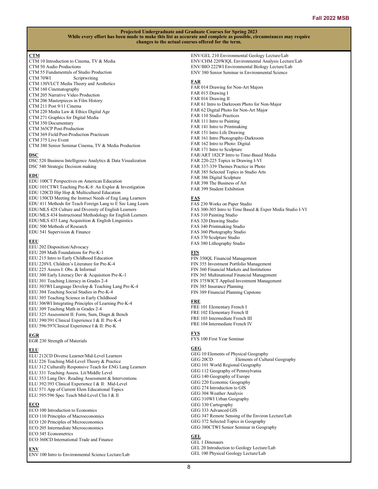## **CTM**

- CTM 10 Introduction to Cinema, TV & Media CTM 50 Audio Productions
- CTM 55 Fundamentals of Studio Production
- CTM 70WI Scriptwriting CTM 130VLCT Media Theory and Aesthetics
- CTM 160 Cinematography
- CTM 205 Narrative Video Production
- CTM 206 Masterpieces in Film History
- CTM 211 Post 9/11 Cinema
- CTM 220 Media Law & Ethics Digital Age
- CTM 271 Graphics for Digital Media
- CTM 350 Documentary
- CTM 365CP Post-Production
- CTM 369 Field/Post-Production Practicum
- CTM 375 Live Event
- CTM 380 Senior Seminar Cinema, TV & Media Production

## **DSC**

DSC 520 Business Intelligence Analytics & Data Visualization DSC 540 Strategic Decision making

## **EDU**

EDU 100CT Perspectives on American Education EDU 101CTWI Teaching Pre-K-8: An Explor & Investigation EDU 120CD Hip Hop & Multicultural Education EDU 150CD Meeting the Instruct Needs of Eng Lang Learners EDU 411 Methods for Teach Foreign Lang to E Sec Lang Learn EDU/MLS 428 Culture and Diversity of English Learners EDU/MLS 434 Instructional Methodology for English Learners EDU/MLS 435 Lang Acquisition & English Linguistics EDU 500 Methods of Research EDU 541 Supervision & Finance

## **EEU**

EEU 202 Disposition/Advocacy EEU 209 Math Foundations for Pre-K-1 EEU 215 Intro to Early Childhood Education EEU 220VL Children's Literature for Pre-K-4 EEU 225 Assess I: Obs. & Informal EEU 300 Early Literacy Dev & Acquisition Pre-K-1 EEU 301 Teaching Literacy in Grades 2-4 EEU 303WI Language Develop & Teaching Lang Pre-K-4 EEU 304 Teaching Social Studies in Pre-K-4 EEU 305 Teaching Science in Early Childhood EEU 306WI Integrating Principles of Learning Pre-K-4 EEU 309 Teaching Math in Grades 2-4 EEU 325 Assessment II: Form, Sum, Diagn & Bench EEU 390/391 Clinical Experience I & II: Pre-K-4 EEU 596/597Clinical Experience I & II: Pre-K

#### **EGR**

EGR 230 Strength of Materials

#### **ELU**

- ELU 212CD Diverse Learner/Mid-Level Learners
- ELU 226 Teaching Mid-Level Theory & Practice
- ELU 312 Culturally Responsive Teach for ENG Lang Learners
- ELU 331 Teaching Assess. Lit/Middle Level
- ELU 353 Lang Dev. Reading Assessment & Interventions
- ELU 392/393 Clinical Experience I & II: Mid-Level
- ELU 571 App of Current Elem Educational Topics ELU 595/596 Spec Teach Mid-Level Clin I & II
- 

## **ECO**

ECO 100 Introduction to Economics ECO 110 Principles of Macroeconomics ECO 120 Principles of Microeconomics ECO 205 Intermediate Microeconomics ECO 345 Econometrics ECO 360CD International Trade and Finance **ENV**

ENV 100 Intro to Environmental Science Lecture/Lab

ENV/GEL 210 Environmental Geology Lecture/Lab ENV/CHM 220WIQL Environmental Analysis Lecture/Lab ENV/BIO 222WI Environmental Biology Lecture/Lab ENV 380 Senior Seminar in Environmental Science

## **FAR**

FAR 014 Drawing for Non-Art Majors FAR 015 Drawing I FAR 016 Drawing II FAR 61 Intro to Darkroom Photo for Non-Major FAR 62 Digital Photo for Non-Art Major FAR 110 Studio Practices FAR 111 Intro to Painting FAR 141 Intro to Printmaking FAR 151 Intro Life Drawing FAR 161 Intro Photography-Darkroom FAR 162 Intro to Photo: Digital FAR 171 Intro to Sculpture FAR/ART 182CP Intro to Time-Based Media FAR 220-225 Topics in Drawing I-VI FAR 337-339 Themes Practice in Photo FAR 385 Selected Topics in Studio Arts FAR 386 Digital Sculpture FAR 398 The Business of Art FAR 399 Student Exhibition

#### **FAS**

FAS 230 Works on Paper Studio FAS 300-305 Intro to Time Based & Exper Media Studio I-VI FAS 310 Painting Studio FAS 320 Drawing Studio FAS 340 Printmaking Studio FAS 360 Photography Studio FAS 370 Sculpture Studio FAS 380 Lithography Studio

#### **FIN**

FIN 350QL Financial Management FIN 355 Investment Portfolio Management FIN 360 Financial Markets and Institutions FIN 365 Multinational Financial Management FIN 375WICT Applied Investment Management FIN 385 Insurance Planning FIN 389 Financial Planning Capstone

## **FRE**

FRE 101 Elementary French I FRE 102 Elementary French II FRE 103 Intermediate French III FRE 104 Intermediate French IV

## **FYS**

FYS 100 First Year Seminar

## **GEG**

GEG 10 Elements of Physical Geography GEG 20CD Elements of Cultural Geography GEG 101 World Regional Geography GEG 112 Geography of Pennsylvania GEG 140 Geography of Europe GEG 220 Economic Geography GEG 274 Introduction to GIS GEG 304 Weather Analysis GEG 310WI Urban Geography GEG 330 Cartography GEG 333 Advanced GIS GEG 347 Remote Sensing of the Environ Lecture/Lab GEG 372 Selected Topics in Geography GEG 380CTWI Senior Seminar in Geography **GEL** GEL 1 Dinosaurs

GEL 20 Introduction to Geology Lecture/Lab GEL 100 Physical Geology Lecture/Lab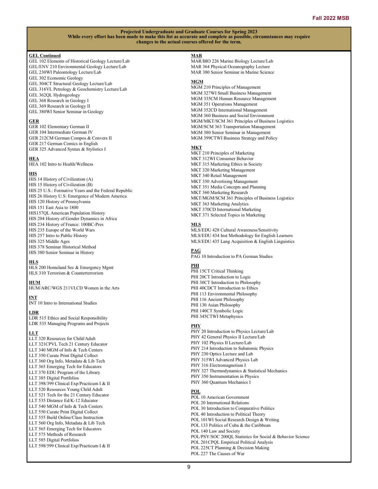#### **GEL Continued**

- GEL 102 Elements of Historical Geology Lecture/Lab GEL/ENV 210 Environmental Geology Lecture/Lab GEL 230WI Paleontology Lecture/Lab GEL 302 Economic Geology GEL 304CT Structural Geology Lecture/Lab
- GEL 316VL Petrology & Geochemistry Lecture/Lab
- GEL 362QL Hydrogeology
- GEL 368 Research in Geology I
- GEL 369 Research in Geology II
- GEL 380WI Senior Seminar in Geology

#### **GER**

- GER 102 Elementary German II GER 104 Intermediate German IV
- GER 212CM German Compos & Convers II GER 217 German Comics in English
- GER 325 Advanced Syntax & Stylistics I

## **HEA**

HEA 102 Intro to Health/Wellness

#### **HIS**

 $\overline{HIS}$  14 History of Civilization (A) HIS 15 History of Civilization (B) HIS 25 U.S.: Formative Years and the Federal Republic HIS 26 History U.S: Emergence of Modern America HIS 120 History of Pennsylvania HIS 151 East Asia to 1800 HIS157QL American Population History HIS 204 History of Gender Dynamics in Africa HIS 234 History of France: 100BC-Pres HIS 235 Europe of the World Wars HIS 257 Intro to Public History HIS 325 Middle Ages HIS 378 Seminar Historical Method HIS 380 Senior Seminar in History

## **HLS**

HLS 200 Homeland Sec & Emergency Mgmt HLS 310 Terrorism & Counterterrorism

## **HUM**

HUM/ARC/WGS 211VLCD Women in the Arts

## **INT**

INT 10 Intro to International Studies

## **LDR**

LDR 515 Ethics and Social Responsibility LDR 535 Managing Programs and Projects

#### **LLT**

LLT 320 Resources for Child/Adult LLT 321CPVL Tech 21 Century Educator LLT 340 MGM of Info & Tech Centers LLT 350 Curate Print Digital Collect LLT 360 Org Info, Metadata & Lib Tech LLT 365 Emerging Tech for Educators LLT 370 EDU Program of the Library LLT 385 Digital Portfolios LLT 398/399 Clinical Exp/Practicum I & II LLT 520 Resources Young Child Adult LLT 521 Tech for the 21 Century Educator LLT 535 Distance Ed/K-12 Educator LLT 540 MGM of Info & Tech Centers LLT 550 Curate Print Digital Collect LLT 555 Build Online/Class Instruction LLT 560 Org Info, Metadata & Lib Tech LLT 565 Emerging Tech for Educators LLT 575 Methods of Research LLT 585 Digital Portfolios

#### LLT 598/599 Clinical Exp/Practicum I & II

## **MAR**

MAR/BIO 226 Marine Biology Lecture/Lab MAR 364 Physical Oceanography Lecture MAR 380 Senior Seminar in Marine Science

### **MGM**

MGM 210 Principles of Management MGM 327WI Small Business Management MGM 335CM Human Resource Management MGM 351 Operations Management MGM 352CD International Management MGM 360 Business and Social Environment MGM/MKT/SCM 361 Principles of Business Logistics MGM/SCM 363 Transportation Management MGM 380 Senior Seminar in Management MGM 399CTWI Business Strategy and Policy

#### **MKT**

MKT 210 Principles of Marketing MKT 312WI Consumer Behavior MKT 315 Marketing Ethics in Society MKT 320 Marketing Management MKT 340 Retail Management MKT 350 Advertising Management MKT 351 Media Concepts and Planning MKT 360 Marketing Research MKT/MGM/SCM 361 Principles of Business Logistics MKT 363 Marketing Analytics MKT 370CD International Marketing MKT 371 Selected Topics in Marketing

#### **MLS**

MLS/EDU 428 Cultural Awareness/Sensitivity MLS/EDU 434 Inst Methodology for English Learners MLS/EDU 435 Lang Acquisition & English Linguistics

### **PAG**

PAG 10 Introduction to PA German Studies

#### **PHI**

PHI 15CT Critical Thinking PHI 20CT Introduction to Logic PHI 30CT Introduction to Philosophy PHI 40CDCT Introduction to Ethics PHI 113 Environmental Philosophy PHI 116 Ancient Philosophy PHI 130 Asian Philosophy PHI 140CT Symbolic Logic PHI 345CTWI Metaphysics

#### **PHY**

PHY 20 Introduction to Physics Lecture/Lab PHY 42 General Physics II Lecture/Lab PHY 102 Physics II Lecture/Lab PHY 214 Introduction to Subatomic Physics PHY 230 Optics Lecture and Lab PHY 315WI Advanced Physics Lab PHY 316 Electromagnetism I PHY 327 Thermodynamics & Statistical Mechanics PHY 350 Instrumentation in Physics PHY 360 Quantum Mechanics I

#### **POL**

POL 10 American Government POL 20 International Relations POL 30 Introduction to Comparative Politics POL 40 Introduction to Political Theory POL 101WI Social Research Design & Writing POL 133 Politics of Cuba & the Caribbean POL 140 Law and Society POL/PSY/SOC 200QL Statistics for Social & Behavior Science POL 201CPQL Empirical Political Analysis POL 225CT Planning & Decision Making POL 227 The Causes of War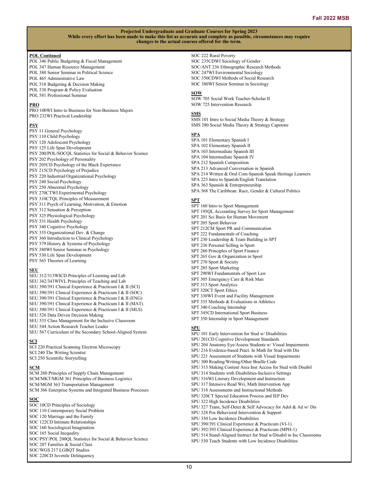## **POL Continued**

- POL 346 Public Budgeting & Fiscal Management POL 347 Human Resource Management POL 380 Senior Seminar in Political Science POL 465 Administrative Law
- POL 518 Budgeting & Decision Making
- POL 538 Program & Policy Evaluation
- POL 581 Professional Seminar

## **PRO**

PRO 100WI Intro to Business for Non-Business Majors PRO 232WI Practical Leadership

#### **PSY**

- PSY 11 General Psychology PSY 110 Child Psychology PSY 120 Adolescent Psychology PSY 125 Life Span Development PSY 200/POL/SOCQL Statistics for Social & Behavior Science PSY 202 Psychology of Personality PSY 205CD Psychology of the Black Experience PSY 215CD Psychology of Prejudice PSY 220 Industrial/Organizational Psychology PSY 240 Social Psychology PSY 250 Abnormal Psychology PSY 270CTWI Experimental Psychology PSY 310CTQL Principles of Measurement PSY 311 Psych of Learning, Motivation, & Emotion PSY 312 Sensation & Perception PSY 325 Physiological Psychology PSY 331 Health Psychology PSY 340 Cognitive Psychology PSY 355 Organizational Dev. & Change PSY 360 Introduction to Clinical Psychology PSY 379 History & Systems of Psychology PSY 380WI Senior Seminar in Psychology PSY 530 Life Span Development
- PSY 565 Theories of Learning

#### **SEU**

SEU 312/313WICD Principles of Learning and Lab SEU 342/343WIVL Principles of Teaching and Lab SEU 390/391 Clinical Experience & Practicum I & II (SCI) SEU 390/391 Clinical Experience & Practicum I & II (SOC) SEU 390/391 Clinical Experience & Practicum I & II (ENG) SEU 390/391 Clinical Experience & Practicum I & II (MAT) SEU 390/391 Clinical Experience & Practicum I & II (MLS) SEU 526 Data Driven Decision Making SEU 535 Class Management for the Inclusive Classroom SEU 544 Action Research Teacher Leader SEU 567 Curriculum of the Secondary School-Aligned System

## **SCI**

SCI 220 Practical Scanning Electron Microscopy SCI 240 The Writing Scientist SCI 250 Scientific Storytelling

#### **SCM**

SCM 260 Principles of Supply Chain Management SCM/MKT/MGM 361 Principles of Business Logistics SCM/MGM 363 Transportation Management SCM 366 Enterprise Systems and Integrated Business Processes

## **SOC**

SOC 10CD Principles of Sociology SOC 110 Contemporary Social Problem SOC 120 Marriage and the Family SOC 122CD Intimate Relationships SOC 160 Sociological Imagination SOC 165 Social Inequality SOC/PSY/POL 200QL Statistics for Social & Behavior Science

- SOC 207 Families & Social Class SOC/WGS 217 LGBQT Studies
- SOC 220CD Juvenile Delinquency

#### SOC 222 Rural Poverty

SOC 235CDWI Sociology of Gender SOC/ANT 236 Ethnographic Research Methods SOC 247WI Environmental Sociology SOC 350CDWI Methods of Social Research SOC 380WI Senior Seminar in Sociology

#### **SOW**

SOW 705 Social Work Teacher-Scholar II SOW 725 Intervention Research

#### **SMS**

SMS 101 Intro to Social Media Theory & Strategy SMS 380 Social Media Theory & Strategy Capstone

#### **SPA**

SPA 101 Elementary Spanish I SPA 102 Elementary Spanish II SPA 103 Intermediate Spanish III SPA 104 Intermediate Spanish IV SPA 212 Spanish Composition SPA 213 Advanced Conversation in Spanish SPA 214 Written & Oral Com-Spanish Speak Heritage Learners SPA 225 Intro to Spanish/English Translation SPA 363 Spanish & Entrepreneurship SPA 368 The Caribbean: Race, Gender & Cultural Politics

## **SPT**

SPT 160 Intro to Sport Management SPT 195QL Accounting Survey for Sport Management SPT 201 Sci Basis for Human Movement SPT 205 Sport Behavior SPT 212CM Sport PR and Communication SPT 222 Fundamentals of Coaching SPT 230 Leadership & Team Building in SPT SPT 236 Personal Selling in Sport SPT 260 Principles of Sport Finance SPT 265 Gov & Organization in Sport SPT 270 Sport & Society SPT 285 Sport Marketing SPT 290WI Fundamentals of Sport Law SPT 305 Emergency Care & Risk Man SPT 313 Sport Analytics SPT 320CT Sport Ethics SPT 330WI Event and Facility Management SPT 335 Methods & Evaluations in Athletics SPT 340 Coaching Internship SPT 345CD International Sport Business SPT 350 Internship in Sport Management

#### **SPU**

SPU 101 Early Intervention for Stud w/ Disabilities SPU 201CD Cognitive Development Standards SPU 204 Anatomy Eye/Assess Students w/ Visual Impairments SPU 216 Evidence-based Pract. In Math for Stud with Dis SPU 221 Assessment of Students with Visual Impairments SPU 300 Reading/Writing/Other Braille Code SPU 313 Making Content Area Inst Access for Stud with Disabil SPU 314 Students with Disabilities-Inclusive Settings SPU 316WI Literary Development and Instruction SPU 317 Intensive Read Wri, Math Intervention App SPU 318 Assessments and Instructional Methods SPU 320CT Special Education Process and IEP Dev SPU 322 High Incidence Disabilities SPU 327 Trans, Self-Deter & Self Advocacy for Adol & Ad w/ Dis SPU 328 Pos Behavioral Intervention & Support SPU 330 Low Incidence Disabilities SPU 390/391 Clinical Experience & Practicum (VI-1) SPU 392/393 Clinical Experience & Practicum (MPH-1) SPU 514 Stand-Aligned Instruct for Stud w/Disabil in Inc Classrooms SPU 530 Teach Students with Low Incidence Disabilities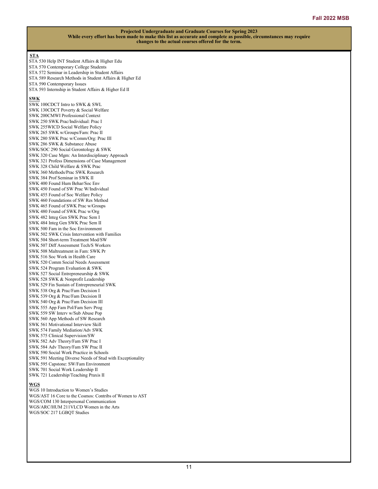## **STA**

- STA 530 Help INT Student Affairs & Higher Edu STA 570 Contemporary College Students STA 572 Seminar in Leadership in Student Affairs
- STA 589 Research Methods in Student Affairs & Higher Ed
- STA 590 Contemporary Issues
- STA 593 Internship in Student Affairs & Higher Ed II

## **SWK**

SWK 100CDCT Intro to SWK & SWL SWK 130CDCT Poverty & Social Welfare SWK 200CMWI Professional Context SWK 250 SWK Prac/Individual: Prac I SWK 255WICD Social Welfare Policy SWK 265 SWK w/Groups/Fam: Prac II SWK 280 SWK Prac w/Comm/Org: Prac III SWK 286 SWK & Substance Abuse SWK/SOC 290 Social Gerontology & SWK SWK 320 Case Mgm: An Interdisciplinary Approach SWK 321 Profess Dimensions of Case Management SWK 328 Child Welfare & SWK Prac SWK 360 Methods/Prac SWK Research SWK 384 Prof Seminar in SWK II SWK 400 Found Hum Behar/Soc Env SWK 450 Found of SW Prac W/Individual SWK 455 Found of Soc Welfare Policy SWK 460 Foundations of SW Res Method SWK 465 Found of SWK Prac w/Groups SWK 480 Found of SWK Prac w/Org SWK 482 Integ Gen SWK Prac Sem I SWK 484 Integ Gen SWK Prac Sem II SWK 500 Fam in the Soc Environment SWK 502 SWK Crisis Intervention with Families SWK 504 Short-term Treatment Mod/SW SWK 507 Diff Assessment Tech/S Workers SWK 508 Maltreatment in Fam: SWK Pr SWK 516 Soc Work in Health Care SWK 520 Comm Social Needs Assessment SWK 524 Program Evaluation & SWK SWK 527 Social Entrepreneurship & SWK SWK 528 SWK & Nonprofit Leadership SWK 529 Fin Sustain of Entrepreneurial SWK SWK 538 Org & Prac/Fam Decision I SWK 539 Org & Prac/Fam Decision II SWK 540 Org & Prac/Fam Decision III SWK 555 App Fam Pol/Fam Serv Prog SWK 559 SW Interv w/Sub Abuse Pop SWK 560 App Methods of SW Research SWK 561 Motivational Interview Skill SWK 574 Family Mediation/Adv SWK SWK 575 Clinical Supervision/SW SWK 582 Adv Theory/Fam SW Prac I SWK 584 Adv Theory/Fam SW Prac II SWK 590 Social Work Practice in Schools SWK 591 Meeting Diverse Needs of Stud with Exceptionality SWK 595 Capstone: SW/Fam Environment SWK 701 Social Work Leadership II SWK 721 Leadership/Teaching Praxis II

#### **WGS**

WGS 10 Introduction to Women's Studies WGS/AST 16 Core to the Cosmos: Contribs of Women to AST WGS/COM 130 Interpersonal Communication WGS/ARC/HUM 211VLCD Women in the Arts WGS/SOC 217 LGBQT Studies